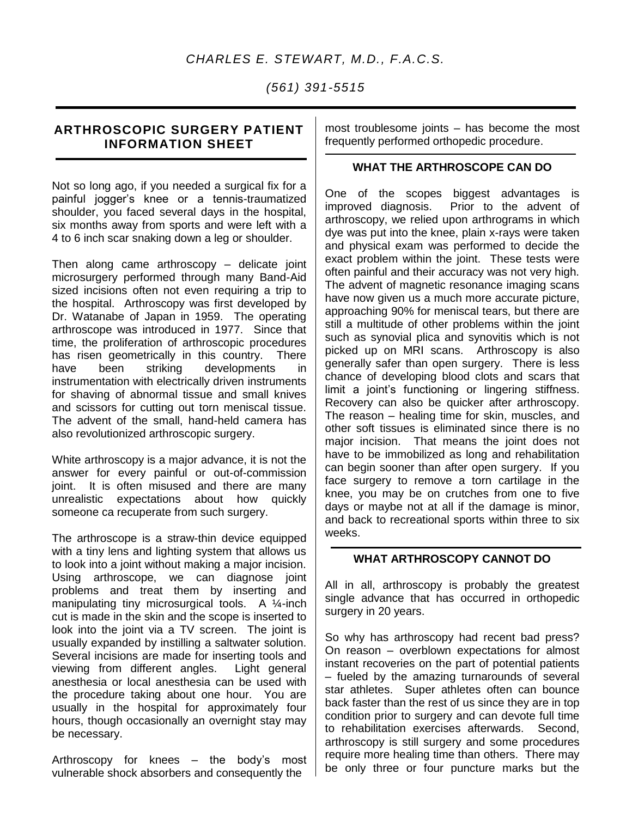## *CHARLES E. STEWART, M.D., F.A.C.S.*

*(561) 391-5515*

## **ARTHROSCOPIC SURGERY PATIENT INFORMATION SHEET**

Not so long ago, if you needed a surgical fix for a painful jogger's knee or a tennis-traumatized shoulder, you faced several days in the hospital, six months away from sports and were left with a 4 to 6 inch scar snaking down a leg or shoulder.

Then along came arthroscopy – delicate joint microsurgery performed through many Band-Aid sized incisions often not even requiring a trip to the hospital. Arthroscopy was first developed by Dr. Watanabe of Japan in 1959. The operating arthroscope was introduced in 1977. Since that time, the proliferation of arthroscopic procedures has risen geometrically in this country. There have been striking developments in instrumentation with electrically driven instruments for shaving of abnormal tissue and small knives and scissors for cutting out torn meniscal tissue. The advent of the small, hand-held camera has also revolutionized arthroscopic surgery.

White arthroscopy is a major advance, it is not the answer for every painful or out-of-commission joint. It is often misused and there are many unrealistic expectations about how quickly someone ca recuperate from such surgery.

The arthroscope is a straw-thin device equipped with a tiny lens and lighting system that allows us to look into a joint without making a major incision. Using arthroscope, we can diagnose joint problems and treat them by inserting and manipulating tiny microsurgical tools. A 1/4-inch cut is made in the skin and the scope is inserted to look into the joint via a TV screen. The joint is usually expanded by instilling a saltwater solution. Several incisions are made for inserting tools and viewing from different angles. Light general anesthesia or local anesthesia can be used with the procedure taking about one hour. You are usually in the hospital for approximately four hours, though occasionally an overnight stay may be necessary.

Arthroscopy for knees – the body's most vulnerable shock absorbers and consequently the

most troublesome joints – has become the most frequently performed orthopedic procedure.

## **WHAT THE ARTHROSCOPE CAN DO**

One of the scopes biggest advantages is improved diagnosis. Prior to the advent of arthroscopy, we relied upon arthrograms in which dye was put into the knee, plain x-rays were taken and physical exam was performed to decide the exact problem within the joint. These tests were often painful and their accuracy was not very high. The advent of magnetic resonance imaging scans have now given us a much more accurate picture, approaching 90% for meniscal tears, but there are still a multitude of other problems within the joint such as synovial plica and synovitis which is not picked up on MRI scans. Arthroscopy is also generally safer than open surgery. There is less chance of developing blood clots and scars that limit a joint's functioning or lingering stiffness. Recovery can also be quicker after arthroscopy. The reason – healing time for skin, muscles, and other soft tissues is eliminated since there is no major incision. That means the joint does not have to be immobilized as long and rehabilitation can begin sooner than after open surgery. If you face surgery to remove a torn cartilage in the knee, you may be on crutches from one to five days or maybe not at all if the damage is minor, and back to recreational sports within three to six weeks.

## **WHAT ARTHROSCOPY CANNOT DO**

All in all, arthroscopy is probably the greatest single advance that has occurred in orthopedic surgery in 20 years.

So why has arthroscopy had recent bad press? On reason – overblown expectations for almost instant recoveries on the part of potential patients – fueled by the amazing turnarounds of several star athletes. Super athletes often can bounce back faster than the rest of us since they are in top condition prior to surgery and can devote full time to rehabilitation exercises afterwards. Second, arthroscopy is still surgery and some procedures require more healing time than others. There may be only three or four puncture marks but the